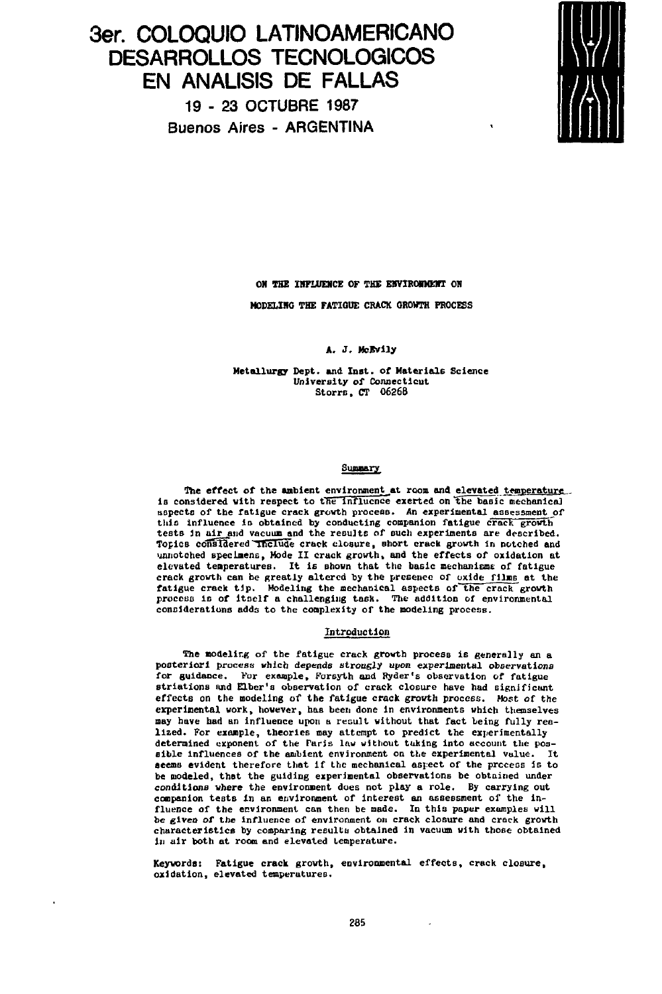# **3er. COLOQUIO LATINOAMERICANO DESARROLLOS TECNOLÓGICOS EN ANÁLISIS DE FALLAS** 19-2 3 OCTUBRE 1987

Buenos Aires - ARGENTINA



**ON THE INFLUENCE OF THE ENVIRONMENT ON**

**MODELING THE FATIGUE CRACK GROWTH PROCESS**

**A, J, McEvily**

**Metallurgy Dept. and Inst. of Materials Science University of Connecticut Storrs, CT 06268**

#### **Summary**

**The effect of the ambient environment at room and elevated twnperafrurc.., la considered with respect to the influence exerted on "the basic mechanical** aspects of the fatigue crack growth process. An experimental assessment of **this influence la obtained by conducting companion fatigue crack growth'** tests in air and vacuum and the results of such experiments are described. Topics considered include crack closure, short crack growth in notched and unnotched specimens, Mode II crack growth, and the effects of oxidation at elevated temperatures. It is shown that the basic mechanisms of fatigue **crack growth can be greatly altered by the presence of oxide films et the fatigue crack tjp. Modeling the mechanical aspects of the crack growth** process is of itself a challenging task. The addition of environmental **considerations adds to the complexity of the modeling process.**

## **Introduction**

The modeling of the fatigue crack growth process is generally an a **posteriori process which depends strongly upon experimental observations for guidance. Por example» Forsyth and Ryder's observation of fatigue striations and Elbcr's observation of crack closure have had significant effects on the modeling of the fatigue crack growth process. Most of the experimental work» however, has been done in environments which themselves may have had an Influence upon a result without that fact being fully realized. For example, theories may attempt to predict the experimentally determined exponent of the Paris law without taking into account the possible influences of the ambient environment on the experimental value. It aeems evident therefore that If the mechanical aspect of the process is to be modeled, that the guiding experimental observations he obtained under conditions where the environment does not play a role. By carrying out** companion tests in an environment of interest an assessment of the influence of the environment can then be made. In this paper examples will be given of the influence of environment on crack closure and crack growth characteristics by comparing results obtained in vacuum with those obtained characteristics by comparing results obtained in vacuum with those obtained

**Keywords: Fatigue crack growth, environmental effects» crack closure, oxidation, elevated temperatures.**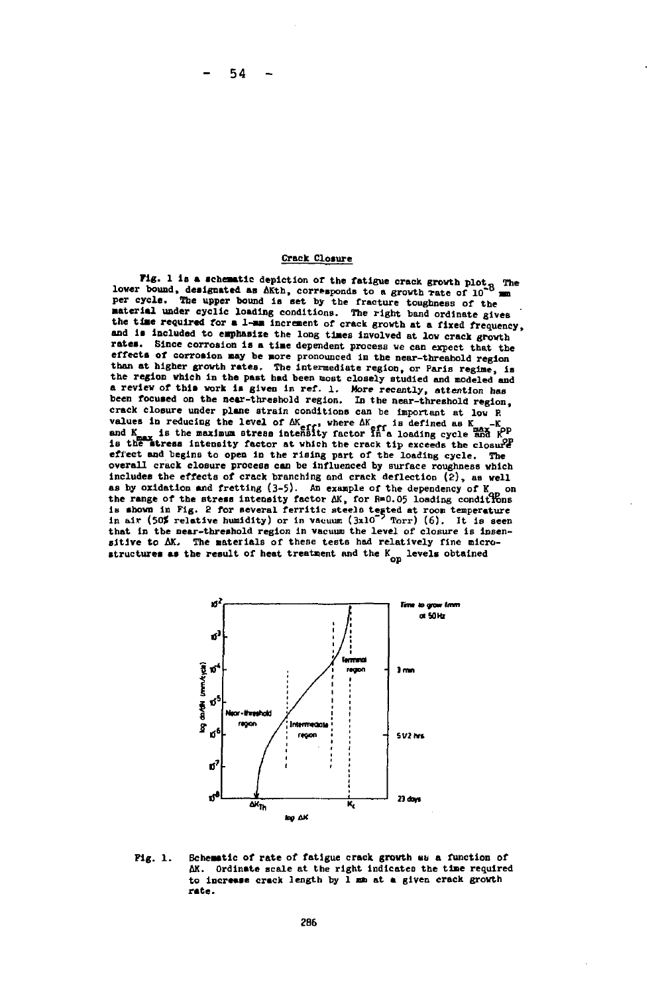**Crack Closure**

54

**Fig. 1 is a schematic depiction of the fatigue crack growth plot<sub>f</sub> The** lower bound, designated as AKth, corresponds to a growth rate of 10<sup>-0</sup> mm<br>per cycle. The upper bound is set by the fracture toughness of the<br>material under cyclic loading conditions. The right band ordinate gives **the tiae rewired for a 1-am increment of crack growth at a fixed frequency, and is included to emphasize the long times involved at low crack growth rates. Since corrosion is a time dependent process we can expect that the** effects of corrosion may be more pronounced in the near-threahold region **than at higher growth rates. The Intermediate region, or Paris regime, Is** the region which in the past had been most closely studied and modeled and **a review of this work is given in ref. l. More recently, attention bas been focused on the near-threshold region. In the near-threshold region, crack closure under plane strain conditions can be important at low E** values in reducing the level of  $\Delta K_{\text{eff}}$ , where  $\Delta K_{\text{eff}}$  is defined as  $K_{\text{max}}$ . It is the maximum stress intensity factor in a loading cycle and  $K_{\text{max}}$  is defined as  $K_{\text{max}}$ . **effect and begins to open In the rising part of the loading cycle. The overall crack closure process can he Influenced by surface roughness which includes the effects of crack branching and crack deflection {£), as well** includes the effects of crack branching and crack deflection  $\overline{2}$ ), as well as by oxidation and fretting  $(3-5)$ . An example of the dependency of  $K_{\infty}$  on **the range of the stress intensity factor AK, for R\*0.05 loading conditions** In shown in rig.  $\epsilon$  for several ferritic steels tested at room temperature in air (50**f** relative humidity) or in vacuum (3x10<sup>-5</sup> Torr) (6). It is seen that in the mear-threshold region in vacuum the level of closure is insensitive to  $\Delta K$ . The materials of these tests had relatively fine microstructures as the result of heat treatment and the K<sub>op</sub> levels obtained



**Fig. 1. Schematic of rate of fatigue crack growth «b a function of AK. Ordlnate scale at the right indicates the time required to increase crack length by 1 mm at a given crack growth rate.**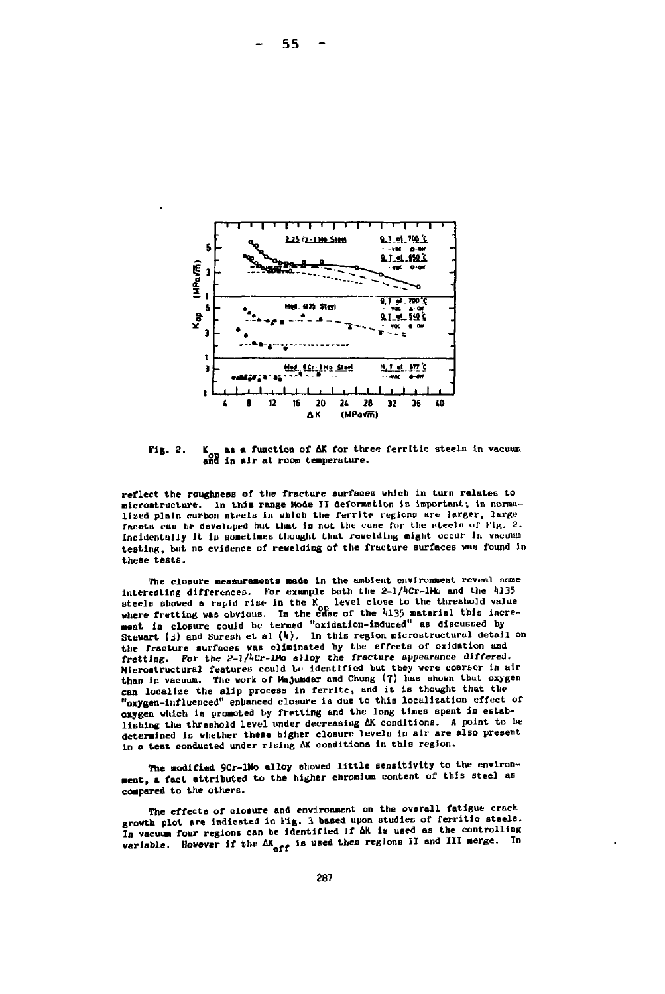

as a function of AK for three ferritic steels in vacuum **Fig. 2.** and in air at room temperature.

reflect the roughness of the fracture surfaces which in turn relates to microstructure. In this range Mode II deformation is important; in normalized plain carbon steels in which the ferrite regions are larger, large facets can be developed but that is not the case for the steels of Fig. 2. Incidentally it is sometimes thought that revelding might occur in vacuum testing, but no evidence of revelding of the fracture surfaces was found in these tests.

The closure measurements made in the ambient environment reveal some interesting differences. For example both the 2-1/4Cr-1Mo and the 4135 steels showed a rapid rise in the K<sub>o</sub> level close to the threshold value where fretting was obvious. In the case of the 4135 material this increment in closure could be termed "oxidation-induced" as discussed by<br>Stevart (3) and Suresh et al  $(4)$ . In this region microstructural detail on the fracture surfaces was eliminated by the effects of oxidation and fretting. For the 2-1/4Cr-1Ho alloy the fracture appearance differed. Microstructural features could be identified but they were coarser in air than in vacuum. The work of Majumdar and Chung (7) has shown that oxygen can localize the slip process in ferrite, and it is thought that the "oxygen-influenced" enhanced closure is due to this localization effect of orygen which is promoted by fretting and the long times spent in establishing the threshold level under decreasing AK conditions. A point to be determined is whether these higher closure levels in air are also present in a test conducted under rising AK conditions in this region.

The modified 9Cr-1Mo alloy showed little sensitivity to the environment, a fact attributed to the higher chromium content of this steel as compared to the others.

The effects of closure and environment on the overall fatigue crack growth plot are indicated in Fig. 3 based upon studies of ferritic steels. In vacuum four regions can be identified if AK is used as the controlling variable. However if the  $\Delta K_{\text{eff}}$  is used then regions II and III merge. In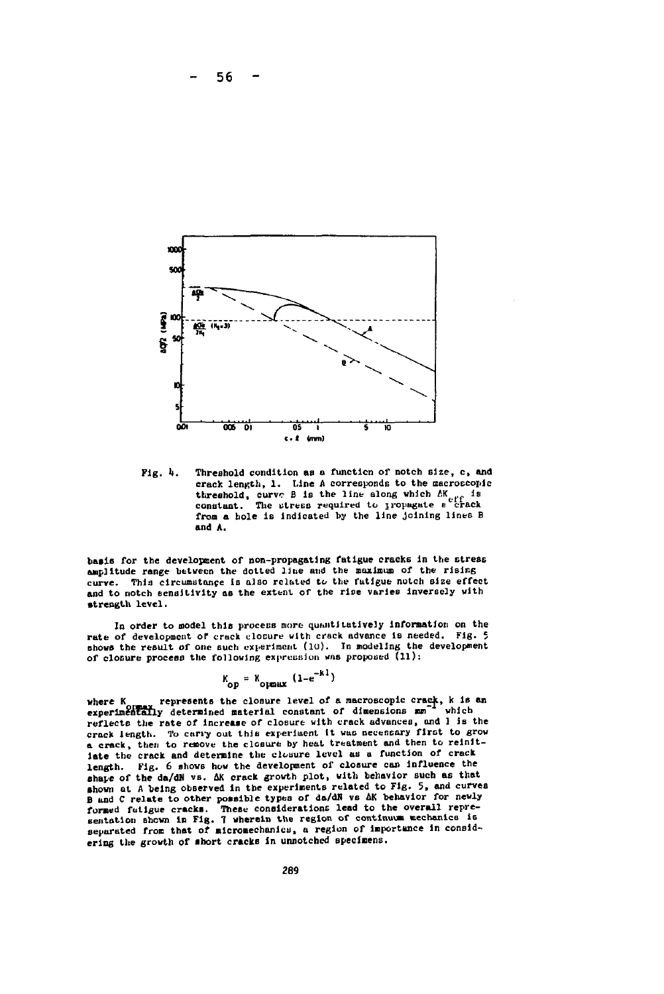

**Fig. It. Threshold condition as a function of notch size, c, and crack length, 1. Line A corresponde to the macroscopic threshold, curve B is the line along which AKe if is constant. The utre&s required to jropagute e crack from a hole is indicated by the line Joining lines B and A.**

basis for the development of non-propagating fatigue cracks in the stress **anplitude range between the dotted line and the maximum of the rising curve. This circumstance is also related tv the fatigue notch sise effect and to notch sensitivity as the extent or the rise varies inversely with strength level.**

In order to model this process more quantitatively information on the **rate of development or crack clocure with crack advance ie needed. Fig. 5 Dhows the result of one such experiment (lu). In modeling the development** of closure process the following expression was proposed (11):

$$
K_{\text{op}} = K_{\text{opmax}} (1 - e^{-KT})
$$

where K *presents the closure level of a macroscopic crack***, k is an experimentally determined material constant of dimensions**  $mn^{-1}$  **which** experimentally determined material constant of dimensions mm<sup>-4</sup> which **reflects the rate of increase of closure with crack advances, and 1 is the crack length. To carry out this experiment it WHO necenoary first to grow a crack, then to remove the closure by heal treatment and then to reinitiate the crack and determine the closure level us a function of crack length. Fig. 6 shows how the development of closure can influence the** shape of the da/dN vs. AK crack growth plot, with behavior such as that<br>shown at A being observed in the experiments related to Fig. 5, and curves<br>B and C relate to other possible types of da/dN vs AK behavior for newly **formed fatigue cracks. These considerations lead to the overall repre-sentation shewn lp Fig. 7 wherein the region of continuum mechanics is** separated from that of micromechanics, a region of importance in considering the growth of short cracks in unnotched specimens.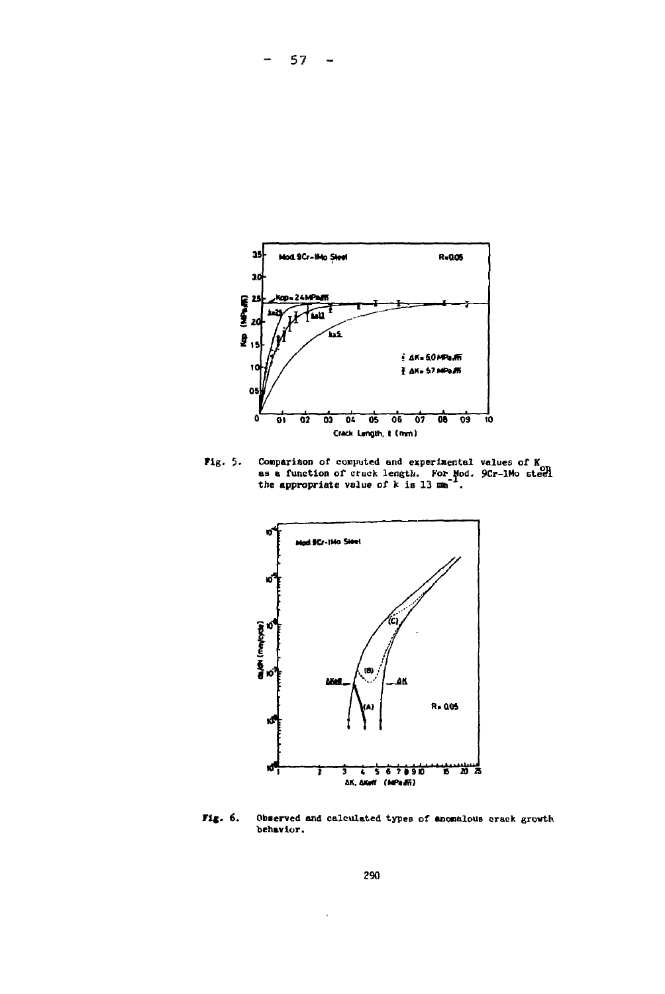

 $57 -$ 

Comparison of computed and experimental values of  $K_{\text{OR}}$  as a function of crack length. For Mod. 9Cr-1Mo steel the appropriate value of k is 13 mm<sup>-1</sup>. Fig. 5.



Fig. 6. Observed and calculated types of anomalous crack growth behavior.

 $\epsilon$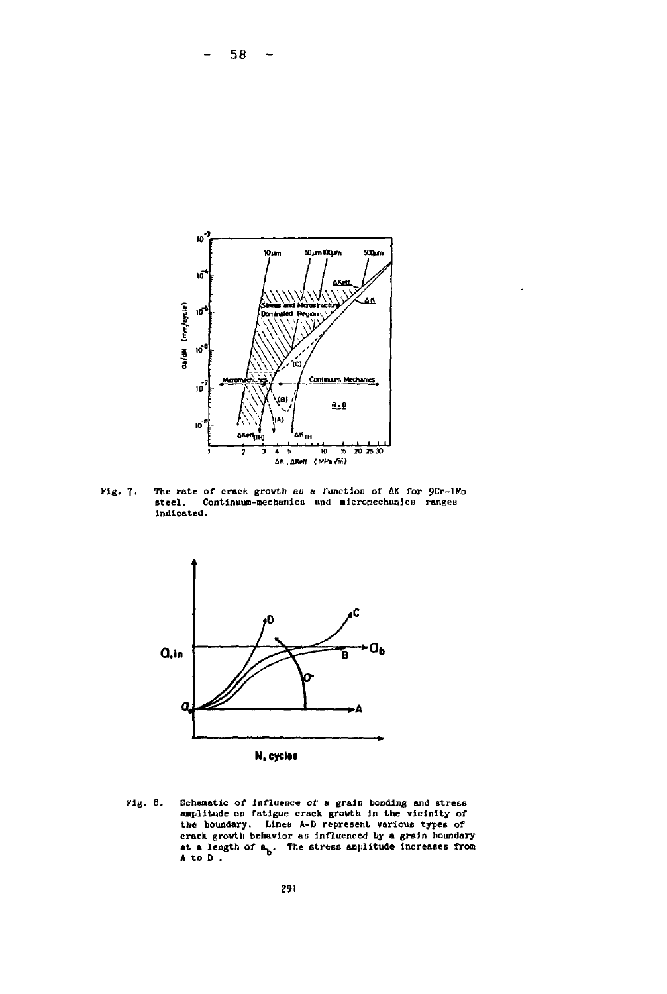

The rate of crack growth as a function of AK for 9Cr-1Mo steel. Continuum-mechanics and micromechanics ranges rig. 7. indicated.



N, cycles

Schematic of influence of a grain bonding and stress<br>amplitude on fatigue crack growth in the vicinity of<br>the boundary. Lines A-D represent various types of<br>crack growth behavior as influenced by a grain boundary<br>at a len Fig. 8.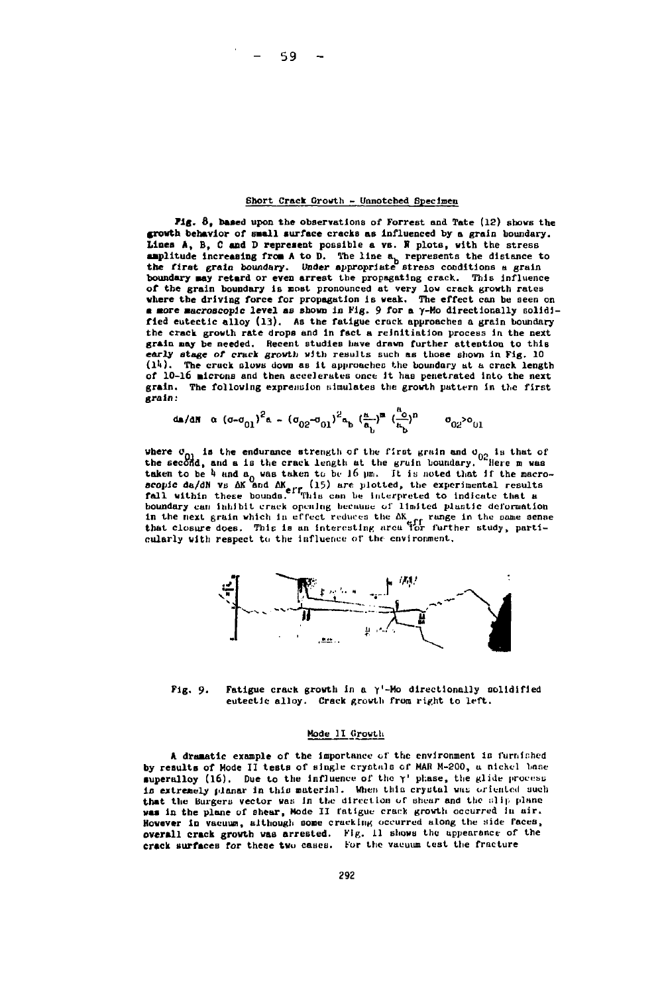# **Short Crack Growth - Unnotched Specimen**

**Fig. 8, based upon the observations of Forrest and Tate (12) sbovs the growth behavior of Bull surface cracks as Influenced by a grain boundary. Linea A, B, C and D represent possible a vs. R plots, with the stress amplitude increasing froa A to D. The line a. represents the distance to the first grain boundary. Under appropriate stress conditions a grain boundary aay retard or even arrest the propagating crack. This influence** of the grain boundary is most pronounced at very low crack growth rates<br>where the driving force for propagation is weak. The effect can be seen on<br>a more macroscopic level as shown in Fig. 9 for a  $\gamma$ -Mo directionally sol **fied eutectic alloy (13). As the fatigue crack approaches a grain boundary the crack growth rate drops and in fact a reinitiation process in the next grain nay be needed. Recent studies have drawn further attention to thiB early stage of crack grovtii with results such as those shown in Fig. 10** (14). The cruck slows down as it approaches the boundary at a crack length of 10-16 **Microns** and then accelerates once it has penetrated into the next **grain. The following expreimion titmulates the growth pattern in the first grain:**

$$
d\mathbf{a}/a\mathbf{N} = \alpha ( \sigma - \sigma_{01})^2 \mathbf{a} - (\sigma_{02} - \sigma_{01})^2 \mathbf{a} - (\frac{\mathbf{a}}{\mathbf{a}_b})^{\mathbf{a}} (\frac{\mathbf{a}_0}{\mathbf{a}_b})^{\mathbf{n}} = -\sigma_{02}^2 \sigma_{01}
$$

is the endurance strength of the first grain and  $\sigma_{02}$  is that of<br>1. and a is the crack length at the grain boundary. <sup>2</sup> Here m was **there**  $\sigma_{01}$  is the endurance strength of the first grain boundary.<br>
the second, and a is the crack length at the gruin boundary.<br>  $\sigma_{01}$  is noted that taken to be 4 and a<sub>0</sub> was taken to be 16 µm. It is noted that if the macro-<br>scopic da/dN vs AK and AK<sub>erp</sub> (15) are plotted, the experimental results<br>fall within these bounds. "This can be interpreted to indicate that a **boundary can inhibit crack opening because of limited plustic deformation** in the next grain which in effect reduces the  $\Delta K_{eff}$  range in the same sense<br>that closure does. This is an interesting area for further study, parti**cularly with respect tu the influence of the environment.**



**Pig. 9. Fatigue crack growth in a y'-Ho directionelly solidified eutectic alloy. Crack growth from right to left.**

#### **Mode II (irowtli**

A dramatic example of the importance of the environment is furnished **by result» of Mode II tests of «ingle cryotnls of MAI) M-200, a nickel base** superalloy (16). Due to the influence of the  $\gamma$ <sup>1</sup> phase, the glide process is extremely planar in this material. When this crystal was oriented such that the Burgers vector was in the direction of shear and the slip plane **was in the plane of shear, Mode II fatigue crack growth occurred In air.** However in vacuum, although some cracking occurred along the side faces, **overall crack growth waa arrested. Fig. 11 shows the appearance of the crack surfaces for these two cases. For the vacuum lest the fracture**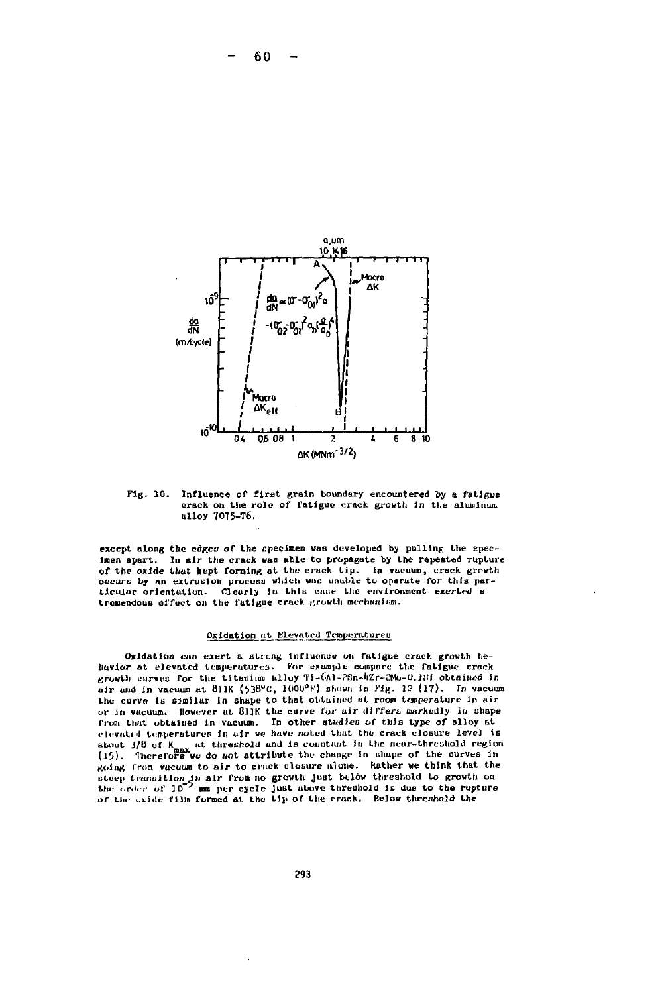

Fig. 10. Influence of first grain boundary encountered by a fatigue crack on the role of fatigue crack growth in the aluminum alloy 7075-T6.

except along the edges of the specimen was developed by pulling the specimen apart. In air the crack was able to propagate by the repeated rupture of the oxide that kept forming at the crack tip. In vacuum, crack growth occurs by an extrusion process which was unable to operate for this particular orientation. Clearly in this case the environment exerted a tremendous effect on the fatigue crack growth mechanism.

# Oxidation at Elevated Temperatures

Oxidation can exert a strong influence on fatigue crack growth behavior at elevated temperatures. For example compare the fatigue crack ervesting for the titunium alloy  $\pi$ i-GA1-28n-42r-200-0.183 obtained in air and in vacuum at 811K (538°C, 1000°F) shown in Fig. 12 (17). In vacuum the curve is similar in shape to that obtained at room temperature in air or in vacuum. However at SIIK the curve for air differs markedly in shape from that obtained in vacuum. In other studies of this type of slloy at elevated temperatures in air we have noted that the crack closure level is about 3/8 of K<sub>n</sub> at threshold and is constant in the near-threshold region<br>(15). Therefore we do not attribute the change in shape of the curves in going from vacuum to air to cruck closure alone. Rather we think that the steep transition in all from no growth just below threshold to growth on<br>the order of 10<sup>-7</sup> mm per cycle just above threshold is due to the rupture of the oxide film formed at the tip of the crack. Below threshold the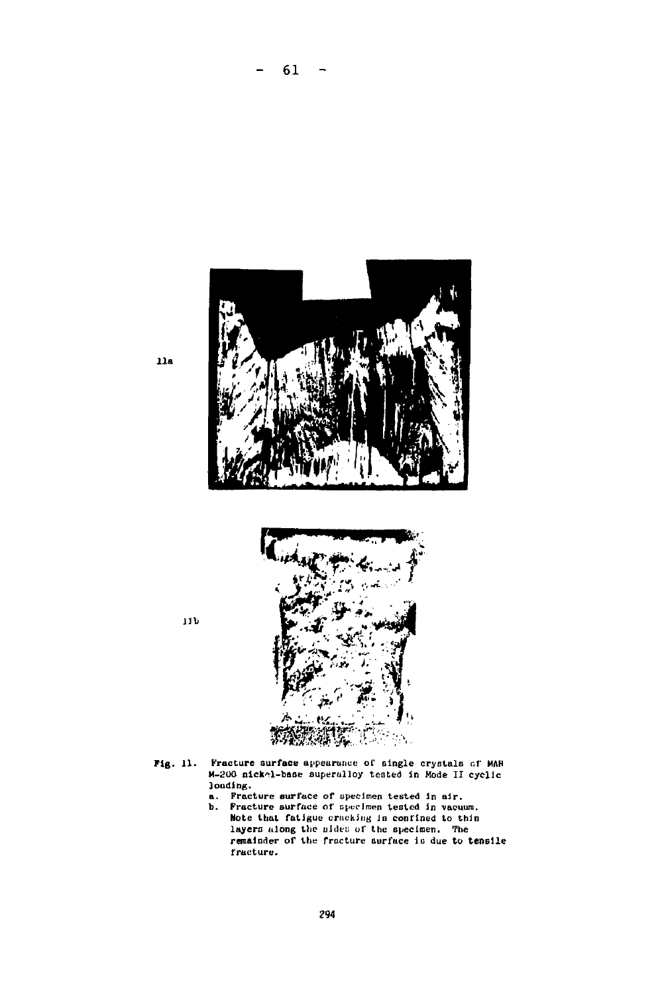

 $- 61 -$ 



- **Fig.** 11. Fracture surface appearance of single crystals of MAH  $A-200$  nickel-base superalloy tested in Mode II cyclic loading.
	- a. Fracture surface of specimen tested in air.<br>b. Fracture surface of specimen tested in vacuum. Note that fatigue cracking in confined to thin layers along the sides of the specimen. The<br>remainder of the fracture surface is due to tensile fracture.

lib

**lia**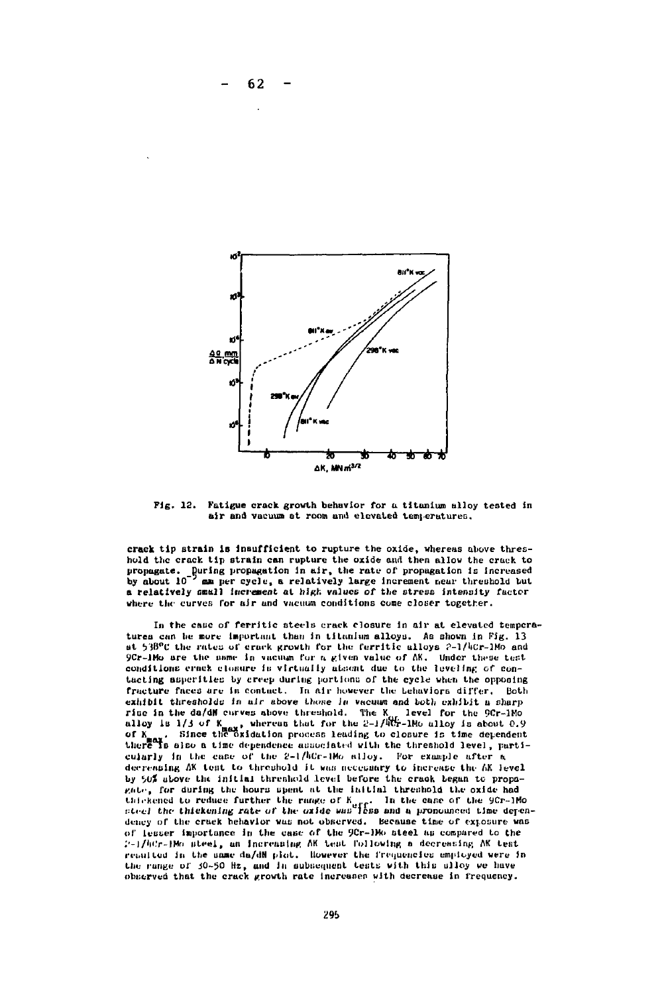

Fig. 12. Fatigue crack growth behavior for a titanium alloy tested in air and vacuum at room and elevated temperatures.

crack tip strain is insufficient to rupture the oxide, whereas above threshold the crack tip strain can rupture the oxide and then allow the crack to propagate. During propagation in air, the rate of propagation is increased<br>by about 10<sup>-7</sup> am per cycle, a relatively large increment near threshold but. mu per cycle, a relatively large increment near threshold but a relatively small increment at high values of the stress intensity factor where the curves for air and vacuum conditions come closer together.

In the case of ferritic steels crack closure in air at elevated temperatures can be more important than in titanium alloys. As shown in Fig. 13 at 538°C the rates of crack growth for the ferritic alloys 2-1/4Cr-1Mo and 9Cr-1Ho are the nume in vacuum for a given value of AK. Under these test conditions erack closure is virtually absent due to the leveling of contacting asperities by creep during portions of the cycle when the opposing fracture faces are in contact. In air however the Lehaviors differ. Both exhibit thresholds in air above those is vacuum and both exhibit a sharp cannot be da/dW curves above threshold. The K, level for the 9Cr-1Mo<br>alloy is 1/3 of K<sub>nox</sub>, whereus that for the 2-1/4Cr-1Mo alloy is about 0.9<br>of K<sub>nox</sub>. Since the oxidation process leading to closure is time dependent of N<sub>ee</sub>x. Since the oxidation process leading to closure is time dependent<br>there is also a time dependence associated with the threshold level, particularly in the case of the 2-1/kCr-1Mo alloy. For example after a decreasing AK test to threshold it was accessary to increase the AK level by 50% above the initial threshold level before the crack began to propagate, for during the hours spent at the initial threshold the oxide had the send to reduce further the range of K<sub>net</sub>. In the case of the 9Cr-1Mo<br>steel the thickening rate of the oride was less and a pronounced time dependency of the cruck hehavior was not observed. Because time of exposure was of lesser importance in the case of the 9Cr-1Mo steel as compared to the 2-1/htr-1Mo steel, an increasing AK test following a decreasing AK test resulted in the same da/dN plot. However the frequencies employed were in the range of 30-50 Hz, and in aubicement tests with this alloy we have<br>observed that the crack growth rate increases with decrease in frequency.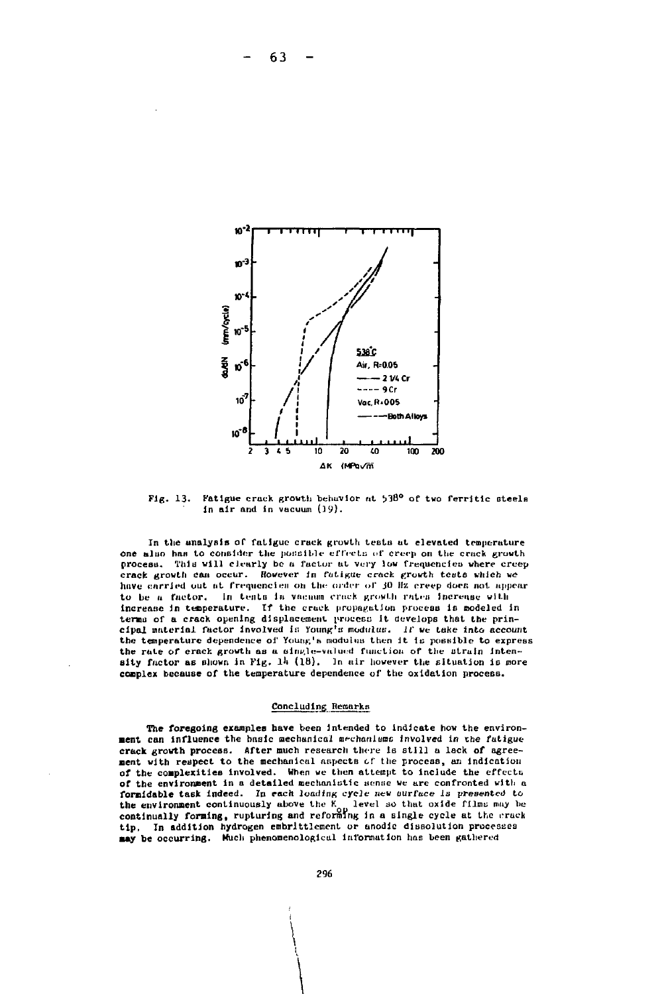

Fatigue crack growth behavior at 538° of two ferritic steels  $Fig. 13.$ in air and in vacuum (19).

In the analysis of fatigue crack growth tests at elevated temperature one also has to consider the possible effects of creep on the crack growth process. This will clearly be a factor at very low frequencies where creep crack growth can occur. However in futigue crack growth tests which we have carried out at frequencies on the order of 30 Hz creep does not appear to be a factor. In tents in vacuum crack growth rates increase with increase in temperature. If the crack propagation process is modeled in terms of a crack opening displacement process it develops that the prin-<br>cipal material factor involved is Young's modulus. If we take into account the temperature dependence of Young's modulus then it is possible to express the rate of crack growth as a single-valued function of the strain intensity factor as shown in Fig. 14 (18). In air however the situation is more complex because of the temperature dependence of the oxidation process.

#### Concluding Remarks

The foregoing examples have been intended to indicate how the environment can influence the basic mechanical mechanisms involved in the fatigue crack growth process. After much research there is still a lack of agreement with respect to the mechanical aspects of the process, an indication of the complexities involved. When we then attempt to include the effects of the environment in a detailed mechanistic sense we are confronted with a formidable task indeed. In each loading cycle new surface is presented to the environment continuously above the K<sub>o</sub> level so that oxide films may be continually forming, rupturing and reforming in a single cycle at the crack tip. In addition hydrogen embrittlement or anodic dissolution processes may be occurring. Much phenomenological information has been gathered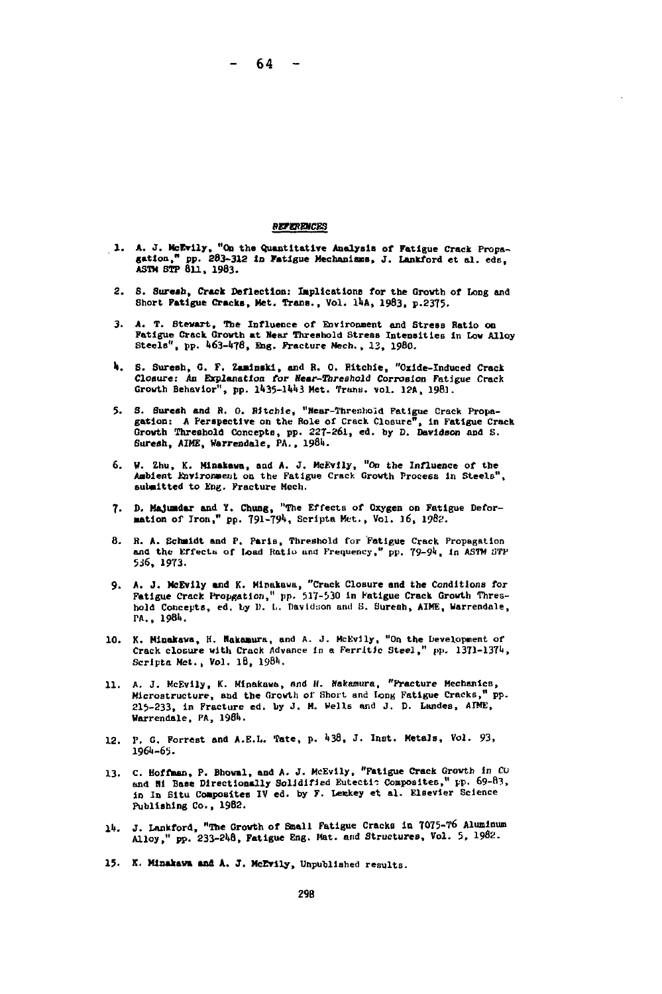- 64 -

### **REPERENCES**

- **1. A. J. McEvlly, "On the Quantitative Analysis of Fatigue Crack Propa- gation," pp. 283-312 lo Fatigue Mechanisms, J. Lankford et al. eds, Asm STP 811, 1983.**
- **2. S. Sureah, Crack Deflection: Implication» for the Grovth of Long and Short Fatigue Cracks, Met. Trans., Vol. UA , 1983, p.2375.**
- 3. A. T. Stewart, The Influence of Environment and Stress Ratio on **Fatigue Crack Grovth at Hear Threshold Stress Intensities In Low Alloy SteelB1 ', pp. I163-4T8, Bag. Fracture Hech., 13, 19B0.**
- **l|. S. Suresh, G. F. Zanlnski, and R. 0. Ritchie, "Oxide-Induced Crack** Closure: An Explanation for Near-Threshold Corrosion Fatigue Crack Growth Behavior", pp. 1435-1443 Met. Trans. vol. 12A, 1981.
- **5. S. Suresh and R. 0. Ritchie, "Near-Threshold Fatigue Crack Propagation : A Perspective on the Role of Crack Closure", in Fatigue Crack Grovth Threshold Concepts, pp. 227-261, ed. by D. Davidson and S.** Suresh, AIME, Warrendale, PA., 1984.
- **6. H. Zhu, K. Mlnakawa, and A. J. McEvily, "On the Influence of the Aabient Environment on the Fatigue Crack Grovth Procees in Steels", submitted to Eng. Fracture Mcch.**
- **7. D. Hajuadar and 1. Chung, "The Effects of Oxygen on Fatigue Defor-mation of Iron," pp. 791-791 !, Scripta Met., Vol. 16, igBs.**
- **8. R. A. Schmidt and P. Parlo, Threshold far Fatigue Crack Propagation** and the Effects of load Ratio and Frequency," pp. 79-94, in ASTM STP **5J6, 1973.**
- 9. A. J. McEvily and K. Mipakawa, "Crack Closure and the Conditions for<br>Fatigue Crack Propgation," pp. 517-530 in Fatigue Crack Growth Thres-<br>hold Concepts, ed. by D. L. Davidson and S. Suresh, AIME, Warrendale, **PA., 1981).**
- 10. K. Minakawa, H. Wakamura, and A. J. McEvily, "On the Development of Crack closure with Crack Advance in a Ferritic Steel," pp. 1371-1374, Scripta Met., Vol. 18, 1984.
- **11. A. J. McEvily, K. Minakava, nnd If. Nakamura, "Fracture Mechanics, Microstructure, and the Growth or Short and long Fatigue Cracks," pp. 215-233, In Fracture ed. by J. M. Wells and J. D. Landes, AIME, Warrendale, PA, 1981).**
- **12. P. G. Forrest and A.E.L. 'fate, p. Ii38, J. Inot. Metals, Vol. 93, 196U-65.**
- **13. C. Hoffman, P. Bhoval, and A. J. McEvily, "Fatigue Crack Grovth in Cu and Hi Base DIrectionally Solidified Eutecti-: Composites," pp. 69-B3,** in In Situ Composites IV ed. by F. Lemkey et al. Elsevier Science **Publishing Co., 1982.**
- **lit. J. Lankford, "The Grovth of Small Fatigue Cracks in 7075-T6 Aluminum Alloy," pp. 233-2li8, Fatigue Eng. Mat. and Structures, Vol. 5, 1982.**
- **15. X. Minakav» and A. J. McEvlly, Unpublished results.**